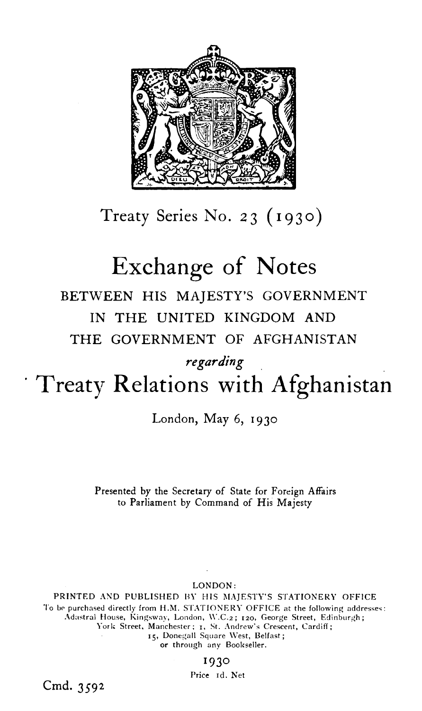

Treaty Series No. **2** 3 ( **I** g 3 o)

# Exchange of Notes

## BETWEEN HIS MAJESTY'S GOVERNMENT IN THE UNITED KINGDOM AND THE GOVERNMENT OF AFGHANISTAN

### *regarding*

## Treaty Relations with Afghanistan

London, May 6, 1930

Presented by the Secretary of State for Foreign Affairs to Parliament by Command of His Majesty

LONDON :

PRINTED AND PUBLISHED BY HIS MAJESTY'S STATIONERY OFFICE To be purchased directly from H.M. STATIONERY OFFICE at the following addresses: Adastral House, Kingsway, London, W.C.2; 120, George Street, Edinburgh; York Street, Manchester; 1, St. Andrew's Crescent, Cardiff; 15, Donegall Square West, Belfast; or through any Bookseller.

#### 1930

Price Id. Net

Cmd. **3592**